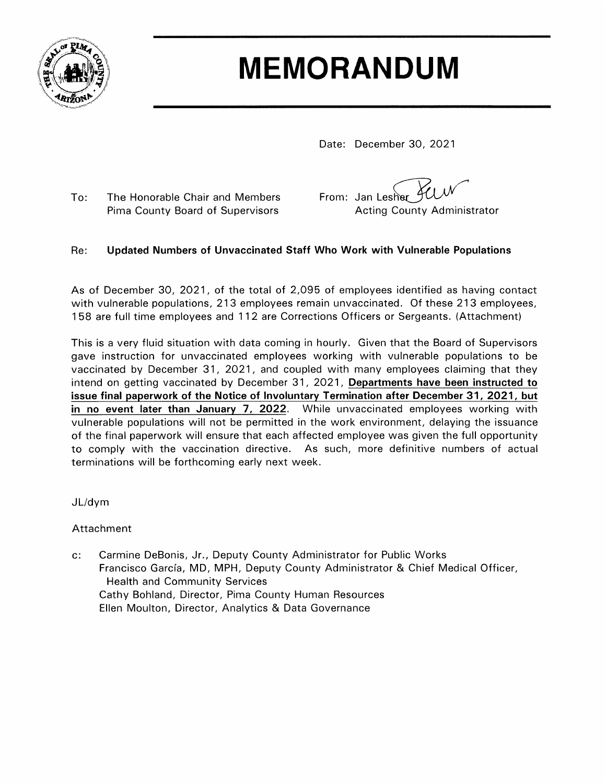

## **MEMORANDUM**

Date: December 30, 2021

To: The Honorable Chair and Members Pima County Board of Supervisors

From: Jan Lesher **Acting County Administrator** 

## Updated Numbers of Unvaccinated Staff Who Work with Vulnerable Populations Re:

As of December 30, 2021, of the total of 2,095 of employees identified as having contact with vulnerable populations, 213 employees remain unvaccinated. Of these 213 employees, 158 are full time employees and 112 are Corrections Officers or Sergeants. (Attachment)

This is a very fluid situation with data coming in hourly. Given that the Board of Supervisors gave instruction for unvaccinated employees working with vulnerable populations to be vaccinated by December 31, 2021, and coupled with many employees claiming that they intend on getting vaccinated by December 31, 2021, Departments have been instructed to issue final paperwork of the Notice of Involuntary Termination after December 31, 2021, but in no event later than January 7, 2022. While unvaccinated employees working with vulnerable populations will not be permitted in the work environment, delaying the issuance of the final paperwork will ensure that each affected employee was given the full opportunity to comply with the vaccination directive. As such, more definitive numbers of actual terminations will be forthcoming early next week.

 $JL/dym$ 

Attachment

Carmine DeBonis, Jr., Deputy County Administrator for Public Works  $c$ : Francisco García, MD, MPH, Deputy County Administrator & Chief Medical Officer, **Health and Community Services** Cathy Bohland, Director, Pima County Human Resources Ellen Moulton, Director, Analytics & Data Governance